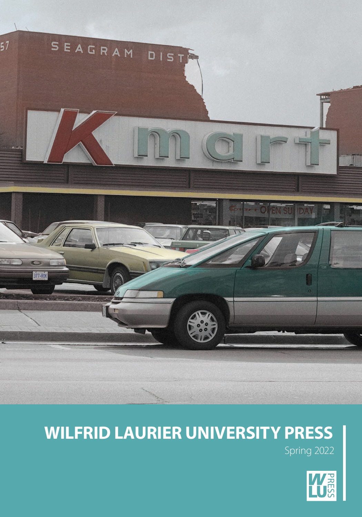

# **WILFRID LAURIER UNIVERSITY PRESS**

Spring 2022

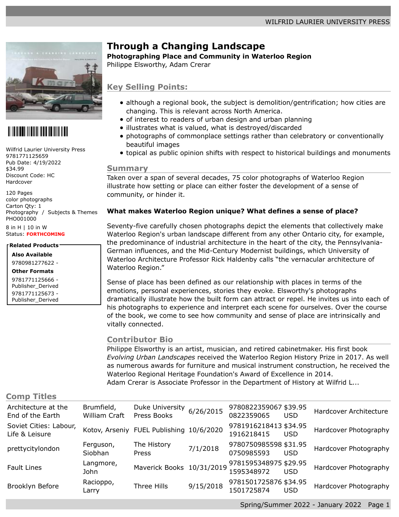

# 

Wilfrid Laurier University Press 9781771125659 Pub Date: 4/19/2022 \$34.99 Discount Code: HC Hardcover

120 Pages color photographs Carton Qty: 1 Photography / Subjects & Themes PHO001000 8 in H | 10 in W Status: **FORTHCOMING**

**Related Products**

**Also Available** 9780981277622 -

**Other Formats** 9781771125666 - Publisher\_Derived 9781771125673 - Publisher\_Derived

# **Through a Changing Landscape**

**Photographing Place and Community in Waterloo Region**

Philippe Elsworthy, Adam Crerar

### **Key Selling Points:**

- although a regional book, the subject is demolition/gentrification; how cities are changing. This is relevant across North America.
- of interest to readers of urban design and urban planning
- illustrates what is valued, what is destroyed/discarded
- photographs of commonplace settings rather than celebratory or conventionally beautiful images
- topical as public opinion shifts with respect to historical buildings and monuments

#### **Summary**

Taken over a span of several decades, 75 color photographs of Waterloo Region illustrate how setting or place can either foster the development of a sense of community, or hinder it.

#### **What makes Waterloo Region unique? What defines a sense of place?**

Seventy-five carefully chosen photographs depict the elements that collectively make Waterloo Region's urban landscape different from any other Ontario city, for example, the predominance of industrial architecture in the heart of the city, the Pennsylvania-German influences, and the Mid-Century Modernist buildings, which University of Waterloo Architecture Professor Rick Haldenby calls "the vernacular architecture of Waterloo Region."

Sense of place has been defined as our relationship with places in terms of the emotions, personal experiences, stories they evoke. Elsworthy's photographs dramatically illustrate how the built form can attract or repel. He invites us into each of his photographs to experience and interpret each scene for ourselves. Over the course of the book, we come to see how community and sense of place are intrinsically and vitally connected.

#### **Contributor Bio**

Philippe Elsworthy is an artist, musician, and retired cabinetmaker. His first book *Evolving Urban Landscapes* received the Waterloo Region History Prize in 2017. As well as numerous awards for furniture and musical instrument construction, he received the Waterloo Regional Heritage Foundation's Award of Excellence in 2014. Adam Crerar is Associate Professor in the Department of History at Wilfrid L...

#### **Comp Titles**

| Architecture at the<br>End of the Earth  | Brumfield,<br>William Craft | Duke University<br>Press Books           | 6/26/2015 | 9780822359067 \$39.95<br>0822359065 | <b>USD</b> | Hardcover Architecture |
|------------------------------------------|-----------------------------|------------------------------------------|-----------|-------------------------------------|------------|------------------------|
| Soviet Cities: Labour,<br>Life & Leisure |                             | Kotov, Arseniy FUEL Publishing 10/6/2020 |           | 9781916218413 \$34.95<br>1916218415 | <b>USD</b> | Hardcover Photography  |
| prettycitylondon                         | Ferguson,<br><b>Siobhan</b> | The History<br>Press                     | 7/1/2018  | 9780750985598 \$31.95<br>0750985593 | <b>USD</b> | Hardcover Photography  |
| <b>Fault Lines</b>                       | Langmore,<br>John           | Maverick Books 10/31/2019                |           | 9781595348975 \$29.95<br>1595348972 | <b>USD</b> | Hardcover Photography  |
| Brooklyn Before                          | Racioppo,<br>Larry          | Three Hills                              | 9/15/2018 | 9781501725876 \$34.95<br>1501725874 | <b>USD</b> | Hardcover Photography  |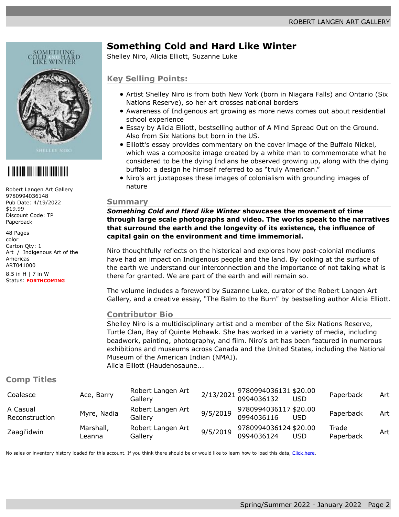

# 

Robert Langen Art Gallery 9780994036148 Pub Date: 4/19/2022 \$19.99 Discount Code: TP Paperback

48 Pages color Carton Qty: 1 Art / Indigenous Art of the Americas ART041000

8.5 in H | 7 in W Status: **FORTHCOMING**

# **Something Cold and Hard Like Winter**

Shelley Niro, Alicia Elliott, Suzanne Luke

### **Key Selling Points:**

- Artist Shelley Niro is from both New York (born in Niagara Falls) and Ontario (Six Nations Reserve), so her art crosses national borders
- Awareness of Indigenous art growing as more news comes out about residential school experience
- Essay by Alicia Elliott, bestselling author of A Mind Spread Out on the Ground. Also from Six Nations but born in the US.
- Elliott's essay provides commentary on the cover image of the Buffalo Nickel, which was a composite image created by a white man to commemorate what he considered to be the dying Indians he observed growing up, along with the dying buffalo: a design he himself referred to as "truly American."
- Niro's art juxtaposes these images of colonialism with grounding images of nature

#### **Summary**

*Something Cold and Hard like Winter* **showcases the movement of time through large scale photographs and video. The works speak to the narratives that surround the earth and the longevity of its existence, the influence of capital gain on the environment and time immemorial.**

Niro thoughtfully reflects on the historical and explores how post-colonial mediums have had an impact on Indigenous people and the land. By looking at the surface of the earth we understand our interconnection and the importance of not taking what is there for granted. We are part of the earth and will remain so.

The volume includes a foreword by Suzanne Luke, curator of the Robert Langen Art Gallery, and a creative essay, "The Balm to the Burn" by bestselling author Alicia Elliott.

#### **Contributor Bio**

Shelley Niro is a multidisciplinary artist and a member of the Six Nations Reserve, Turtle Clan, Bay of Quinte Mohawk. She has worked in a variety of media, including beadwork, painting, photography, and film. Niro's art has been featured in numerous exhibitions and museums across Canada and the United States, including the National Museum of the American Indian (NMAI). Alicia Elliott (Haudenosaune...

#### **Comp Titles**

| Coalesce                   | Ace, Barry          | Robert Langen Art<br>Gallery |          | 2/13/2021 9780994036131 \$20.00<br>0994036132 USD |            | Paperback          | Art |
|----------------------------|---------------------|------------------------------|----------|---------------------------------------------------|------------|--------------------|-----|
| A Casual<br>Reconstruction | Myre, Nadia         | Robert Langen Art<br>Gallery | 9/5/2019 | 9780994036117 \$20.00<br>0994036116               | <b>USD</b> | Paperback          | Art |
| Zaagi'idwin                | Marshall,<br>Leanna | Robert Langen Art<br>Gallery | 9/5/2019 | 9780994036124 \$20.00<br>0994036124               | <b>USD</b> | Trade<br>Paperback | Art |

No sales or inventory history loaded for this account. If you think there should be or would like to learn how to load this data, [Click here.](mailto:edelweiss@abovethetreeline.com?SUBJECT=Edelweiss%20sales%20history%20inquiry)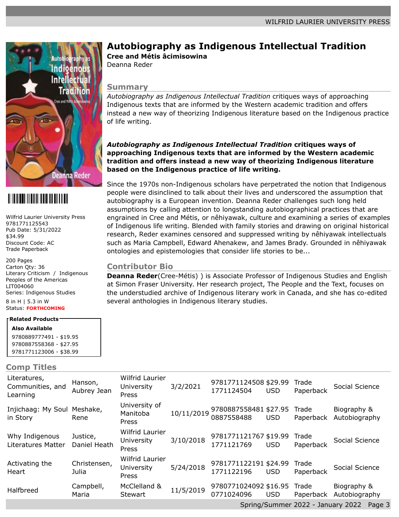

# <u> Alia Alian Alia Alia Alia Alia Ali</u>

Wilfrid Laurier University Press 9781771125543 Pub Date: 5/31/2022 \$34.99 Discount Code: AC Trade Paperback

200 Pages Carton Qty: 36 Literary Criticism / Indigenous Peoples of the Americas LIT004060 Series: Indigenous Studies

#### 8 in H | 5.3 in W Status: **FORTHCOMING**

### **Related Products**

**Also Available** 9780889777491 - \$19.95 9780887558368 - \$27.95 9781771123006 - \$38.99

#### **Comp Titles**

## **Autobiography as Indigenous Intellectual Tradition**

**Cree and Métis âcimisowina**

Deanna Reder

### **Summary**

*Autobiography as Indigenous Intellectual Tradition* critiques ways of approaching Indigenous texts that are informed by the Western academic tradition and offers instead a new way of theorizing Indigenous literature based on the Indigenous practice of life writing.

#### *Autobiography as Indigenous Intellectual Tradition* **critiques ways of approaching Indigenous texts that are informed by the Western academic tradition and offers instead a new way of theorizing Indigenous literature based on the Indigenous practice of life writing.**

Since the 1970s non-Indigenous scholars have perpetrated the notion that Indigenous people were disinclined to talk about their lives and underscored the assumption that autobiography is a European invention. Deanna Reder challenges such long held assumptions by calling attention to longstanding autobiographical practices that are engrained in Cree and Métis, or nêhiyawak, culture and examining a series of examples of Indigenous life writing. Blended with family stories and drawing on original historical research, Reder examines censored and suppressed writing by nêhiyawak intellectuals such as Maria Campbell, Edward Ahenakew, and James Brady. Grounded in nêhiyawak ontologies and epistemologies that consider life stories to be...

### **Contributor Bio**

**Deanna Reder**(Cree-Métis) ) is Associate Professor of Indigenous Studies and English at Simon Fraser University. Her research project, The People and the Text, focuses on the understudied archive of Indigenous literary work in Canada, and she has co-edited several anthologies in Indigenous literary studies.

| UVIIIM IIUVU                                 |                          |                                        |            |                                     |            |                    |                              |
|----------------------------------------------|--------------------------|----------------------------------------|------------|-------------------------------------|------------|--------------------|------------------------------|
| Literatures,<br>Communities, and<br>Learning | Hanson,<br>Aubrey Jean   | Wilfrid Laurier<br>University<br>Press | 3/2/2021   | 9781771124508 \$29.99<br>1771124504 | <b>USD</b> | Trade<br>Paperback | Social Science               |
| Injichaag: My Soul<br>in Story               | Meshake,<br>Rene         | University of<br>Manitoba<br>Press     | 10/11/2019 | 9780887558481 \$27.95<br>0887558488 | <b>USD</b> | Trade<br>Paperback | Biography &<br>Autobiography |
| Why Indigenous<br>Literatures Matter         | Justice,<br>Daniel Heath | Wilfrid Laurier<br>University<br>Press | 3/10/2018  | 9781771121767 \$19.99<br>1771121769 | <b>USD</b> | Trade<br>Paperback | Social Science               |
| Activating the<br>Heart                      | Christensen,<br>Julia    | Wilfrid Laurier<br>University<br>Press | 5/24/2018  | 9781771122191 \$24.99<br>1771122196 | <b>USD</b> | Trade<br>Paperback | Social Science               |
| Halfbreed                                    | Campbell,<br>Maria       | McClelland &<br><b>Stewart</b>         | 11/5/2019  | 9780771024092 \$16.95<br>0771024096 | <b>USD</b> | Trade<br>Paperback | Biography &<br>Autobiography |
|                                              |                          |                                        |            |                                     |            |                    |                              |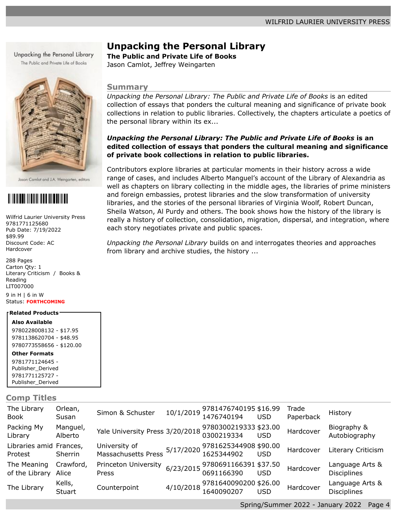Unpacking the Personal Library The Public and Private Life of Books



Jason Camlot and J.A. Weingarten, editors

# <u> Alia Alian Alia Alia Alia Alia Alia Ali</u>

Wilfrid Laurier University Press 9781771125680 Pub Date: 7/19/2022 \$89.99 Discount Code: AC Hardcover

288 Pages Carton Qty: 1 Literary Criticism / Books & Reading LIT007000

9 in H | 6 in W Status: **FORTHCOMING**

#### **Related Products**

**Also Available**

9780228008132 - \$17.95 9781138620704 - \$48.95 9780773558656 - \$120.00

**Other Formats**

9781771124645 - Publisher\_Derived 9781771125727 - Publisher\_Derived

**Comp Titles**

### **Unpacking the Personal Library**

**The Public and Private Life of Books**

Jason Camlot, Jeffrey Weingarten

#### **Summary**

*Unpacking the Personal Library: The Public and Private Life of Books* is an edited collection of essays that ponders the cultural meaning and significance of private book collections in relation to public libraries. Collectively, the chapters articulate a poetics of the personal library within its ex...

#### *Unpacking the Personal Library: The Public and Private Life of Books* **is an edited collection of essays that ponders the cultural meaning and significance of private book collections in relation to public libraries.**

Contributors explore libraries at particular moments in their history across a wide range of cases, and includes Alberto Manguel's account of the Library of Alexandria as well as chapters on library collecting in the middle ages, the libraries of prime ministers and foreign embassies, protest libraries and the slow transformation of university libraries, and the stories of the personal libraries of Virginia Woolf, Robert Duncan, Sheila Watson, Al Purdy and others. The book shows how the history of the library is really a history of collection, consolidation, migration, dispersal, and integration, where each story negotiates private and public spaces.

*Unpacking the Personal Library* builds on and interrogates theories and approaches from library and archive studies, the history ...

| The Library<br>Book                | Orlean,<br>Susan    | Simon & Schuster                                                                              | 10/1/2019 9781476740195 \$16.99<br>1476740194 USD |            | Trade<br>Paperback | History                               |
|------------------------------------|---------------------|-----------------------------------------------------------------------------------------------|---------------------------------------------------|------------|--------------------|---------------------------------------|
| Packing My<br>Library              | Manguel,<br>Alberto | Yale University Press 3/20/2018                                                               | 9780300219333 \$23.00<br>0300219334               | <b>USD</b> | Hardcover          | Biography &<br>Autobiography          |
| Libraries amid Frances,<br>Protest | <b>Sherrin</b>      | University of 5/17/2020 9781625344908 \$90.00<br>Massachusetts Press 5/17/2020 1625344902 USD |                                                   |            | Hardcover          | <b>Literary Criticism</b>             |
| The Meaning<br>of the Library      | Crawford,<br>Alice  | Princeton University<br>Press                                                                 | 6/23/2015 9780691166391 \$37.50<br>0691166390 USD |            | Hardcover          | Language Arts &<br><b>Disciplines</b> |
| The Library                        | Kells,<br>Stuart    | Counterpoint                                                                                  | 4/10/2018 9781640090200 \$26.00<br>1640090207 USD |            | Hardcover          | Language Arts &<br>Disciplines        |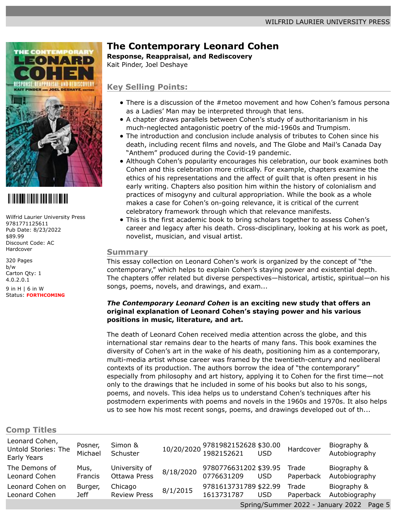

# 

Wilfrid Laurier University Press 9781771125611 Pub Date: 8/23/2022 \$89.99 Discount Code: AC Hardcover

320 Pages b/w Carton Qty: 1 4.0.2.0.1 9 in H | 6 in W Status: **FORTHCOMING**

# **The Contemporary Leonard Cohen**

#### **Response, Reappraisal, and Rediscovery**

Kait Pinder, Joel Deshaye

### **Key Selling Points:**

- There is a discussion of the #metoo movement and how Cohen's famous persona as a Ladies' Man may be interpreted through that lens.
- A chapter draws parallels between Cohen's study of authoritarianism in his much-neglected antagonistic poetry of the mid-1960s and Trumpism.
- The introduction and conclusion include analysis of tributes to Cohen since his death, including recent films and novels, and The Globe and Mail's Canada Day "Anthem" produced during the Covid-19 pandemic.
- Although Cohen's popularity encourages his celebration, our book examines both Cohen and this celebration more critically. For example, chapters examine the ethics of his representations and the affect of guilt that is often present in his early writing. Chapters also position him within the history of colonialism and practices of misogyny and cultural appropriation. While the book as a whole makes a case for Cohen's on-going relevance, it is critical of the current celebratory framework through which that relevance manifests.
- This is the first academic book to bring scholars together to assess Cohen's career and legacy after his death. Cross-disciplinary, looking at his work as poet, novelist, musician, and visual artist.

#### **Summary**

This essay collection on Leonard Cohen's work is organized by the concept of "the contemporary," which helps to explain Cohen's staying power and existential depth. The chapters offer related but diverse perspectives—historical, artistic, spiritual—on his songs, poems, novels, and drawings, and exam...

#### *The Contemporary Leonard Cohen* **is an exciting new study that offers an original explanation of Leonard Cohen's staying power and his various positions in music, literature, and art.**

The death of Leonard Cohen received media attention across the globe, and this international star remains dear to the hearts of many fans. This book examines the diversity of Cohen's art in the wake of his death, positioning him as a contemporary, multi-media artist whose career was framed by the twentieth-century and neoliberal contexts of its production. The authors borrow the idea of "the contemporary" especially from philosophy and art history, applying it to Cohen for the first time—not only to the drawings that he included in some of his books but also to his songs, poems, and novels. This idea helps us to understand Cohen's techniques after his postmodern experiments with poems and novels in the 1960s and 1970s. It also helps us to see how his most recent songs, poems, and drawings developed out of th...

#### **Comp Titles**

| Leonard Cohen,<br>Untold Stories: The<br>Early Years | Posner,<br>Michael     | Simon &<br>Schuster                  |           | 10/20/2020 9781982152628 \$30.00<br>1982152621 USD |            | Hardcover          | Biography &<br>Autobiography                                                                                                                                                                                                                                                                                                                                                                                                                            |  |
|------------------------------------------------------|------------------------|--------------------------------------|-----------|----------------------------------------------------|------------|--------------------|---------------------------------------------------------------------------------------------------------------------------------------------------------------------------------------------------------------------------------------------------------------------------------------------------------------------------------------------------------------------------------------------------------------------------------------------------------|--|
| The Demons of<br>Leonard Cohen                       | Mus,<br><b>Francis</b> | University of<br><b>Ottawa Press</b> | 8/18/2020 | 9780776631202 \$39.95<br>0776631209                | <b>USD</b> | Trade<br>Paperback | Biography &<br>Autobiography                                                                                                                                                                                                                                                                                                                                                                                                                            |  |
| Leonard Cohen on<br>Leonard Cohen                    | Burger,<br><b>Jeff</b> | Chicago<br><b>Review Press</b>       | 8/1/2015  | 9781613731789 \$22.99<br>1613731787                | <b>USD</b> | Trade<br>Paperback | Biography &<br>Autobiography                                                                                                                                                                                                                                                                                                                                                                                                                            |  |
|                                                      |                        |                                      |           |                                                    |            |                    | $C_{\text{univ}} = (C_{\text{univ}} - C_{\text{univ}} - C_{\text{univ}} - C_{\text{univ}} - C_{\text{univ}} - C_{\text{univ}} - C_{\text{univ}} - C_{\text{univ}} - C_{\text{univ}} - C_{\text{univ}} - C_{\text{univ}} - C_{\text{univ}} - C_{\text{univ}} - C_{\text{univ}} - C_{\text{univ}} - C_{\text{univ}} - C_{\text{univ}} - C_{\text{univ}} - C_{\text{univ}} - C_{\text{univ}} - C_{\text{univ}} - C_{\text{univ}} - C_{\text{univ}} - C_{\$ |  |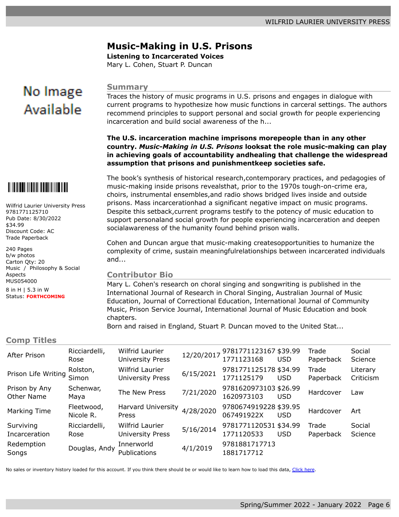### **Music-Making in U.S. Prisons**

**Listening to Incarcerated Voices**

Mary L. Cohen, Stuart P. Duncan

# No Image Available

Wilfrid Laurier University Press

Music / Philosophy & Social

9781771125710 Pub Date: 8/30/2022

Discount Code: AC Trade Paperback

\$34.99

240 Pages b/w photos Carton Qty: 20

Aspects MUS054000 8 in H | 5.3 in W Status: **FORTHCOMING**

#### **Summary**

Traces the history of music programs in U.S. prisons and engages in dialogue with current programs to hypothesize how music functions in carceral settings. The authors recommend principles to support personal and social growth for people experiencing incarceration and build social awareness of the h...

#### **The U.S. incarceration machine imprisons morepeople than in any other country.** *Music-Making in U.S. Prisons* **looksat the role music-making can play in achieving goals of accountability andhealing that challenge the widespread assumption that prisons and punishmentkeep societies safe.**

The book's synthesis of historical research,contemporary practices, and pedagogies of music-making inside prisons revealsthat, prior to the 1970s tough-on-crime era, choirs, instrumental ensembles,and radio shows bridged lives inside and outside prisons. Mass incarcerationhad a significant negative impact on music programs. Despite this setback,current programs testify to the potency of music education to support personaland social growth for people experiencing incarceration and deepen socialawareness of the humanity found behind prison walls.

Cohen and Duncan argue that music-making createsopportunities to humanize the complexity of crime, sustain meaningfulrelationships between incarcerated individuals and...

#### **Contributor Bio**

Mary L. Cohen's research on choral singing and songwriting is published in the International Journal of Research in Choral Singing, Australian Journal of Music Education, Journal of Correctional Education, International Journal of Community Music, Prison Service Journal, International Journal of Music Education and book chapters.

Born and raised in England, Stuart P. Duncan moved to the United Stat...

#### **Comp Titles**

| After Prison                | Ricciardelli,<br>Rose   | <b>Wilfrid Laurier</b><br><b>University Press</b> | 12/20/2017 | 9781771123167 \$39.99<br>1771123168 | <b>USD</b> | Trade<br>Paperback | Social<br>Science     |
|-----------------------------|-------------------------|---------------------------------------------------|------------|-------------------------------------|------------|--------------------|-----------------------|
| Prison Life Writing         | Rolston,<br>Simon       | Wilfrid Laurier<br><b>University Press</b>        | 6/15/2021  | 9781771125178 \$34.99<br>1771125179 | <b>USD</b> | Trade<br>Paperback | Literary<br>Criticism |
| Prison by Any<br>Other Name | Schenwar,<br>Maya       | The New Press                                     | 7/21/2020  | 9781620973103 \$26.99<br>1620973103 | <b>USD</b> | Hardcover          | Law                   |
| Marking Time                | Fleetwood,<br>Nicole R. | Harvard University<br>Press                       | 4/28/2020  | 9780674919228 \$39.95<br>067491922X | <b>USD</b> | Hardcover          | Art                   |
| Surviving<br>Incarceration  | Ricciardelli,<br>Rose   | Wilfrid Laurier<br><b>University Press</b>        | 5/16/2014  | 9781771120531 \$34.99<br>1771120533 | <b>USD</b> | Trade<br>Paperback | Social<br>Science     |
| Redemption<br>Songs         | Douglas, Andy           | Innerworld<br>Publications                        | 4/1/2019   | 9781881717713<br>1881717712         |            |                    |                       |

No sales or inventory history loaded for this account. If you think there should be or would like to learn how to load this data, [Click here.](mailto:edelweiss@abovethetreeline.com?SUBJECT=Edelweiss%20sales%20history%20inquiry)